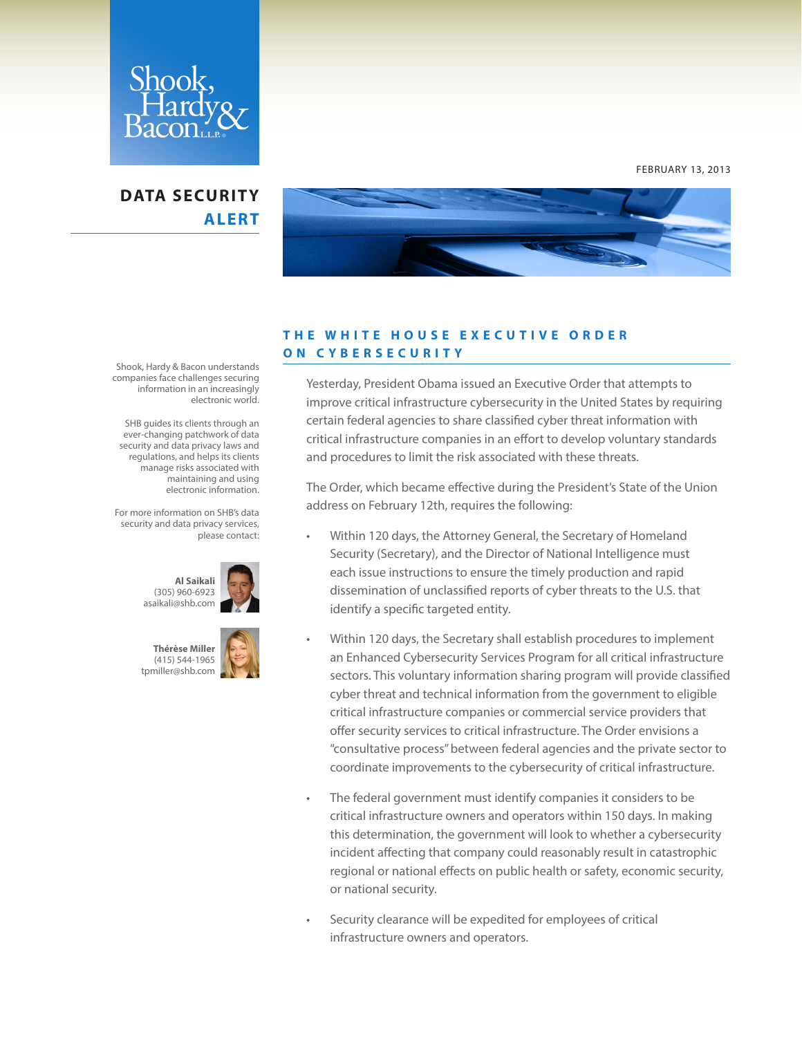

### **DATA SECURITY ALERT**



#### **T H E W H I T E H O U S E E X E C U T I V E O R D E R ON CYBERSECURITY**

Yesterday, President Obama issued an Executive Order that attempts to improve critical infrastructure cybersecurity in the United States by requiring certain federal agencies to share classified cyber threat information with critical infrastructure companies in an effort to develop voluntary standards and procedures to limit the risk associated with these threats.

The Order, which became effective during the President's State of the Union address on February 12th, requires the following:

- Within 120 days, the Attorney General, the Secretary of Homeland Security (Secretary), and the Director of National Intelligence must each issue instructions to ensure the timely production and rapid dissemination of unclassified reports of cyber threats to the U.S. that identify a specific targeted entity.
- Within 120 days, the Secretary shall establish procedures to implement an Enhanced Cybersecurity Services Program for all critical infrastructure sectors. This voluntary information sharing program will provide classified cyber threat and technical information from the government to eligible critical infrastructure companies or commercial service providers that offer security services to critical infrastructure. The Order envisions a "consultative process" between federal agencies and the private sector to coordinate improvements to the cybersecurity of critical infrastructure.
- The federal government must identify companies it considers to be critical infrastructure owners and operators within 150 days. In making this determination, the government will look to whether a cybersecurity incident affecting that company could reasonably result in catastrophic regional or national effects on public health or safety, economic security, or national security.
- Security clearance will be expedited for employees of critical infrastructure owners and operators.

Shook, Hardy & Bacon understands companies face challenges securing information in an increasingly electronic world.

 SHB guides its clients through an ever-changing patchwork of data security and data privacy laws and regulations, and helps its clients manage risks associated with maintaining and using electronic information.

For more information on SHB's data security and data privacy services, please contact:





FEBRUARY 13, 2013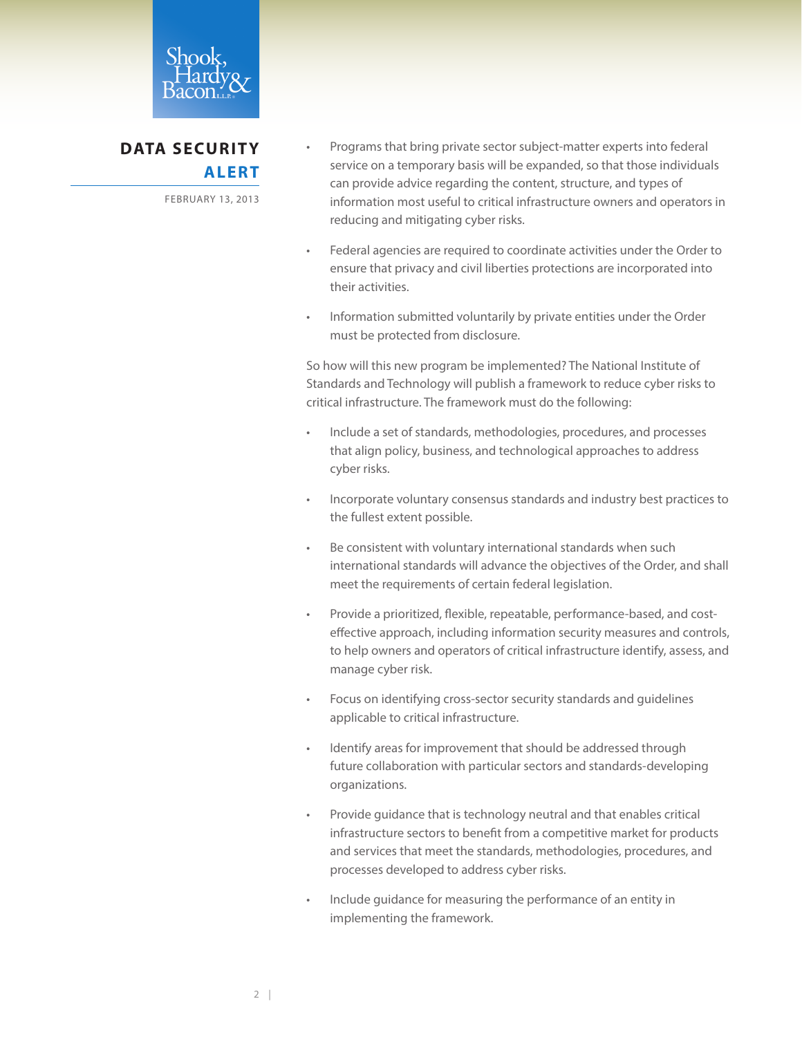

## **DATA SECURITY ALERT**

FEBRUARY 13, 2013

- Programs that bring private sector subject-matter experts into federal service on a temporary basis will be expanded, so that those individuals can provide advice regarding the content, structure, and types of information most useful to critical infrastructure owners and operators in reducing and mitigating cyber risks.
- Federal agencies are required to coordinate activities under the Order to ensure that privacy and civil liberties protections are incorporated into their activities.
- Information submitted voluntarily by private entities under the Order must be protected from disclosure.

So how will this new program be implemented? The National Institute of Standards and Technology will publish a framework to reduce cyber risks to critical infrastructure. The framework must do the following:

- Include a set of standards, methodologies, procedures, and processes that align policy, business, and technological approaches to address cyber risks.
- Incorporate voluntary consensus standards and industry best practices to the fullest extent possible.
- Be consistent with voluntary international standards when such international standards will advance the objectives of the Order, and shall meet the requirements of certain federal legislation.
- Provide a prioritized, flexible, repeatable, performance-based, and costeffective approach, including information security measures and controls, to help owners and operators of critical infrastructure identify, assess, and manage cyber risk.
- Focus on identifying cross-sector security standards and guidelines applicable to critical infrastructure.
- Identify areas for improvement that should be addressed through future collaboration with particular sectors and standards-developing organizations.
- Provide guidance that is technology neutral and that enables critical infrastructure sectors to benefit from a competitive market for products and services that meet the standards, methodologies, procedures, and processes developed to address cyber risks.
- Include guidance for measuring the performance of an entity in implementing the framework.